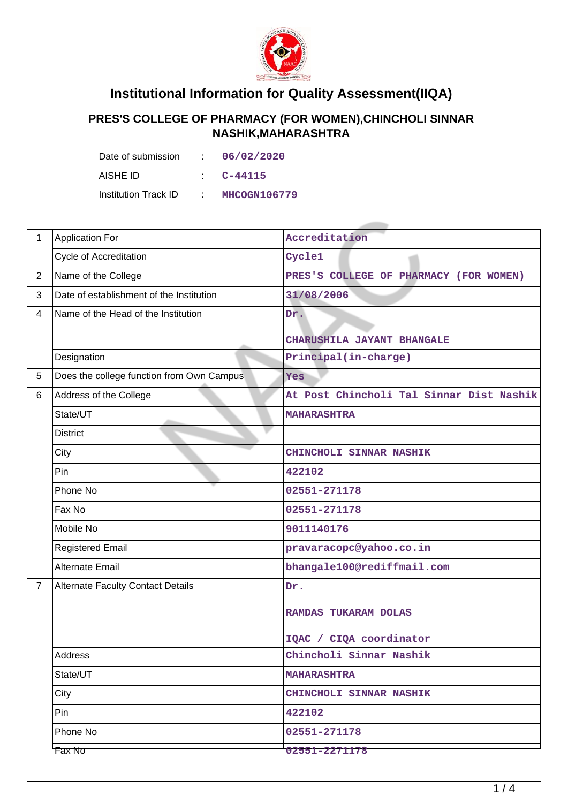

## **Institutional Information for Quality Assessment(IIQA)**

## **PRES'S COLLEGE OF PHARMACY (FOR WOMEN),CHINCHOLI SINNAR NASHIK,MAHARASHTRA**

| Date of submission   |                   | 06/02/2020   |
|----------------------|-------------------|--------------|
| AISHE ID             |                   | $C-44115$    |
| Institution Track ID | <b>All Street</b> | MHCOGN106779 |

| 1              | <b>Application For</b>                    | Accreditation                            |
|----------------|-------------------------------------------|------------------------------------------|
|                | <b>Cycle of Accreditation</b>             | <b>Cycle1</b>                            |
| $\overline{2}$ | Name of the College                       | PRES'S COLLEGE OF PHARMACY (FOR WOMEN)   |
| 3              | Date of establishment of the Institution  | 31/08/2006                               |
| $\overline{4}$ | Name of the Head of the Institution       | Dr.                                      |
|                |                                           | CHARUSHILA JAYANT BHANGALE               |
|                | Designation                               | Principal(in-charge)                     |
| 5              | Does the college function from Own Campus | Yes                                      |
| 6              | Address of the College                    | At Post Chincholi Tal Sinnar Dist Nashik |
|                | State/UT                                  | <b>MAHARASHTRA</b>                       |
|                | <b>District</b>                           |                                          |
|                | City                                      | CHINCHOLI SINNAR NASHIK                  |
|                | Pin                                       | 422102                                   |
|                | Phone No                                  | 02551-271178                             |
|                | Fax No                                    | 02551-271178                             |
|                | Mobile No                                 | 9011140176                               |
|                | <b>Registered Email</b>                   | pravaracopc@yahoo.co.in                  |
|                | <b>Alternate Email</b>                    | bhangale100@rediffmail.com               |
| $\overline{7}$ | <b>Alternate Faculty Contact Details</b>  | Dr.                                      |
|                |                                           | RAMDAS TUKARAM DOLAS                     |
|                |                                           | IQAC / CIQA coordinator                  |
|                | Address                                   | Chincholi Sinnar Nashik                  |
|                | State/UT                                  | <b>MAHARASHTRA</b>                       |
|                | City                                      | CHINCHOLI SINNAR NASHIK                  |
|                | Pin                                       | 422102                                   |
|                | Phone No                                  | 02551-271178                             |
|                | Fax No                                    | 02551-2271178                            |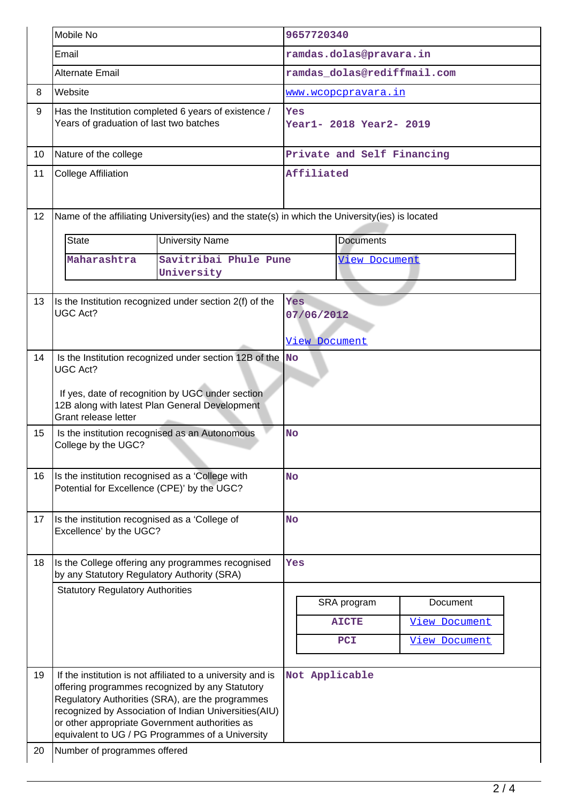|    | Mobile No                                                                                                                                                                                      |                                                                                                                                                                                                                                                                                 |                                | 9657720340     |                                    |                                                          |  |  |
|----|------------------------------------------------------------------------------------------------------------------------------------------------------------------------------------------------|---------------------------------------------------------------------------------------------------------------------------------------------------------------------------------------------------------------------------------------------------------------------------------|--------------------------------|----------------|------------------------------------|----------------------------------------------------------|--|--|
|    | Email                                                                                                                                                                                          |                                                                                                                                                                                                                                                                                 | ramdas.dolas@pravara.in        |                |                                    |                                                          |  |  |
|    | <b>Alternate Email</b>                                                                                                                                                                         |                                                                                                                                                                                                                                                                                 | ramdas_dolas@rediffmail.com    |                |                                    |                                                          |  |  |
| 8  | Website                                                                                                                                                                                        |                                                                                                                                                                                                                                                                                 | <u>www.wcopcpravara.in</u>     |                |                                    |                                                          |  |  |
| 9  | Has the Institution completed 6 years of existence /<br>Years of graduation of last two batches                                                                                                |                                                                                                                                                                                                                                                                                 | Yes<br>Year1- 2018 Year2- 2019 |                |                                    |                                                          |  |  |
| 10 | Nature of the college                                                                                                                                                                          |                                                                                                                                                                                                                                                                                 | Private and Self Financing     |                |                                    |                                                          |  |  |
| 11 | <b>College Affiliation</b>                                                                                                                                                                     |                                                                                                                                                                                                                                                                                 |                                | Affiliated     |                                    |                                                          |  |  |
| 12 |                                                                                                                                                                                                | Name of the affiliating University(ies) and the state(s) in which the University(ies) is located                                                                                                                                                                                |                                |                |                                    |                                                          |  |  |
|    | State                                                                                                                                                                                          | <b>University Name</b>                                                                                                                                                                                                                                                          | <b>Documents</b>               |                |                                    |                                                          |  |  |
|    | Savitribai Phule Pune<br>Maharashtra<br>University                                                                                                                                             |                                                                                                                                                                                                                                                                                 | <b>View Document</b>           |                |                                    |                                                          |  |  |
| 13 |                                                                                                                                                                                                | Is the Institution recognized under section 2(f) of the                                                                                                                                                                                                                         | Yes                            |                |                                    |                                                          |  |  |
|    | <b>UGC Act?</b>                                                                                                                                                                                |                                                                                                                                                                                                                                                                                 |                                | 07/06/2012     |                                    |                                                          |  |  |
|    |                                                                                                                                                                                                |                                                                                                                                                                                                                                                                                 | <u>View Document</u>           |                |                                    |                                                          |  |  |
| 14 | Is the Institution recognized under section 12B of the $\sqrt{\ }$ No<br><b>UGC Act?</b><br>If yes, date of recognition by UGC under section<br>12B along with latest Plan General Development |                                                                                                                                                                                                                                                                                 |                                |                |                                    |                                                          |  |  |
| 15 | Grant release letter<br>Is the institution recognised as an Autonomous<br>College by the UGC?                                                                                                  |                                                                                                                                                                                                                                                                                 |                                | <b>No</b>      |                                    |                                                          |  |  |
| 16 | Is the institution recognised as a 'College with<br>Potential for Excellence (CPE)' by the UGC?                                                                                                |                                                                                                                                                                                                                                                                                 |                                | <b>No</b>      |                                    |                                                          |  |  |
| 17 | Is the institution recognised as a 'College of<br>Excellence' by the UGC?                                                                                                                      |                                                                                                                                                                                                                                                                                 |                                | <b>No</b>      |                                    |                                                          |  |  |
| 18 | Is the College offering any programmes recognised<br>by any Statutory Regulatory Authority (SRA)                                                                                               |                                                                                                                                                                                                                                                                                 | Yes                            |                |                                    |                                                          |  |  |
|    | <b>Statutory Regulatory Authorities</b>                                                                                                                                                        |                                                                                                                                                                                                                                                                                 |                                |                | SRA program<br><b>AICTE</b><br>PCI | Document<br><b>View Document</b><br><b>View Document</b> |  |  |
| 19 | or other appropriate Government authorities as                                                                                                                                                 | If the institution is not affiliated to a university and is<br>offering programmes recognized by any Statutory<br>Regulatory Authorities (SRA), are the programmes<br>recognized by Association of Indian Universities(AIU)<br>equivalent to UG / PG Programmes of a University |                                | Not Applicable |                                    |                                                          |  |  |
| 20 | Number of programmes offered                                                                                                                                                                   |                                                                                                                                                                                                                                                                                 |                                |                |                                    |                                                          |  |  |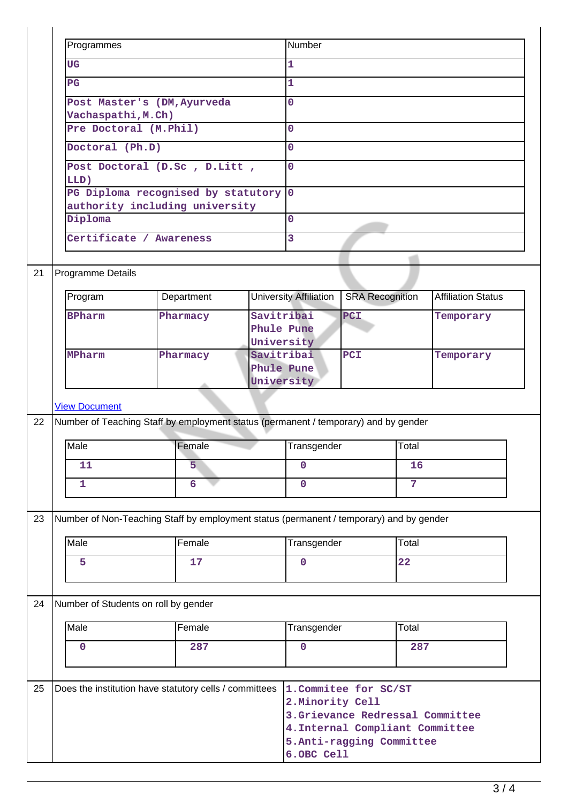|                                           | Programmes                                   | <b>Number</b>                                                                                 |                          |                                           |                        |       |                           |  |
|-------------------------------------------|----------------------------------------------|-----------------------------------------------------------------------------------------------|--------------------------|-------------------------------------------|------------------------|-------|---------------------------|--|
|                                           | <b>UG</b>                                    |                                                                                               |                          | 1                                         |                        |       |                           |  |
|                                           | $_{\rm PG}$                                  |                                                                                               |                          | 1                                         |                        |       |                           |  |
|                                           | Post Master's (DM, Ayurveda                  |                                                                                               |                          | $\overline{0}$                            |                        |       |                           |  |
|                                           | Vachaspathi, M.Ch)<br>Pre Doctoral (M.Phil)  |                                                                                               | $\overline{0}$           |                                           |                        |       |                           |  |
|                                           |                                              |                                                                                               |                          |                                           |                        |       |                           |  |
|                                           | Doctoral (Ph.D)                              |                                                                                               |                          | 0<br>0                                    |                        |       |                           |  |
|                                           |                                              | Post Doctoral (D.Sc, D.Litt,                                                                  |                          |                                           |                        |       |                           |  |
|                                           | LLD)<br>PG Diploma recognised by statutory 0 |                                                                                               |                          |                                           |                        |       |                           |  |
|                                           |                                              |                                                                                               |                          |                                           |                        |       |                           |  |
| authority including university<br>Diploma |                                              | $\overline{0}$                                                                                |                          |                                           |                        |       |                           |  |
|                                           | Certificate / Awareness                      |                                                                                               | $\overline{3}$           |                                           |                        |       |                           |  |
|                                           |                                              |                                                                                               |                          |                                           |                        |       |                           |  |
| 21                                        | Programme Details                            |                                                                                               |                          |                                           |                        |       |                           |  |
|                                           |                                              |                                                                                               |                          |                                           |                        |       |                           |  |
|                                           | Program                                      | Department                                                                                    |                          | <b>University Affiliation</b>             | <b>SRA Recognition</b> |       | <b>Affiliation Status</b> |  |
|                                           | <b>BPharm</b>                                | Pharmacy                                                                                      | Savitribai               |                                           | PCI                    |       | Temporary                 |  |
|                                           |                                              |                                                                                               | Phule Pune               |                                           |                        |       |                           |  |
|                                           | <b>MPharm</b>                                | Pharmacy                                                                                      | University<br>Savitribai |                                           | PCI                    |       | Temporary                 |  |
|                                           |                                              |                                                                                               | Phule Pune               |                                           |                        |       |                           |  |
|                                           |                                              |                                                                                               | University               |                                           |                        |       |                           |  |
| 22                                        | <b>View Document</b><br>Male                 | Number of Teaching Staff by employment status (permanent / temporary) and by gender<br>Female |                          | Transgender                               |                        | Total |                           |  |
|                                           | 11                                           | 5                                                                                             |                          | $\mathbf 0$                               |                        | 16    |                           |  |
|                                           | $\mathbf 1$                                  | $6\overline{6}$                                                                               |                          | $\mathbf 0$                               |                        | 7     |                           |  |
|                                           |                                              |                                                                                               |                          |                                           |                        |       |                           |  |
| 23                                        |                                              | Number of Non-Teaching Staff by employment status (permanent / temporary) and by gender       |                          |                                           |                        |       |                           |  |
|                                           | Male                                         | Female                                                                                        |                          | Transgender                               |                        | Total |                           |  |
|                                           | 5                                            | 17                                                                                            |                          | $\mathbf 0$                               |                        | 22    |                           |  |
|                                           |                                              |                                                                                               |                          |                                           |                        |       |                           |  |
| 24                                        |                                              | Number of Students on roll by gender                                                          |                          |                                           |                        |       |                           |  |
|                                           | Male                                         | Female                                                                                        |                          | Transgender                               |                        | Total |                           |  |
|                                           | 0                                            | 287                                                                                           |                          | $\mathbf 0$                               |                        | 287   |                           |  |
|                                           |                                              |                                                                                               |                          |                                           |                        |       |                           |  |
|                                           |                                              |                                                                                               |                          |                                           |                        |       |                           |  |
| 25                                        |                                              | Does the institution have statutory cells / committees                                        |                          | 1. Commitee for SC/ST<br>2. Minority Cell |                        |       |                           |  |
|                                           |                                              |                                                                                               |                          | 3.Grievance Redressal Committee           |                        |       |                           |  |
|                                           |                                              |                                                                                               |                          | 4. Internal Compliant Committee           |                        |       |                           |  |
|                                           |                                              |                                                                                               |                          | 5.Anti-ragging Committee                  |                        |       |                           |  |
|                                           |                                              | 6.OBC Cell                                                                                    |                          |                                           |                        |       |                           |  |